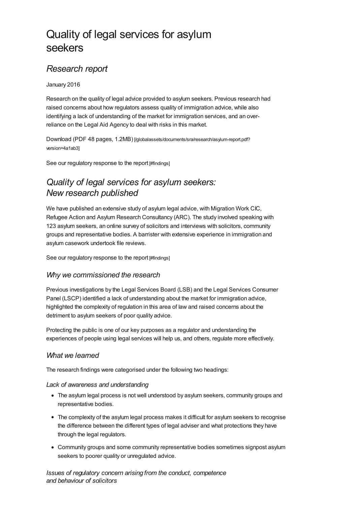# Quality of legal services for asylum seekers

## *Research report*

#### January 2016

Research on the quality of legal advice provided to asylum seekers. Previous research had raised concerns about how regulators assess quality of immigration advice, while also identifying a lack of understanding of the market for immigration services, and an overreliance on the Legal Aid Agency to deal with risks in this market.

Download (PDF 48 pages, 1.2MB) [\[/globalassets/documents/sra/research/asylum-report.pdf?](https://www.sra.org.uk/globalassets/documents/sra/research/asylum-report.pdf?version=4a1ab3) version=4a1ab3]

See our [regulatory](#page-1-0) response to the report [#findings]

# *Quality of legal services for asylum seekers: New research published*

We have published an extensive study of asylum legal advice, with Migration Work CIC, Refugee Action and Asylum Research Consultancy (ARC). The study involved speaking with 123 asylum seekers, an online survey of solicitors and interviews with solicitors, community groups and representative bodies. A barrister with extensive experience in immigration and asylum casework undertook file reviews.

See our [regulatory](#page-1-0) response to the report [#findings]

#### *Why we commissioned the research*

Previous investigations by the Legal Services Board (LSB) and the Legal Services Consumer Panel (LSCP) identified a lack of understanding about the market for immigration advice, highlighted the complexity of regulation in this area of law and raised concerns about the detriment to asylum seekers of poor quality advice.

Protecting the public is one of our key purposes as a regulator and understanding the experiences of people using legal services will help us, and others, regulate more effectively.

#### *What we learned*

The research findings were categorised under the following two headings:

#### *Lack of awareness and understanding*

- The asylum legal process is not well understood by asylum seekers, community groups and representative bodies.
- The complexity of the asylum legal process makes it difficult for asylum seekers to recognise the difference between the different types of legal adviser and what protections they have through the legal regulators.
- Community groups and some community representative bodies sometimes signpost asylum seekers to poorer quality or unregulated advice.

*Issues of regulatory concern arising from the conduct, competence and behaviour of solicitors*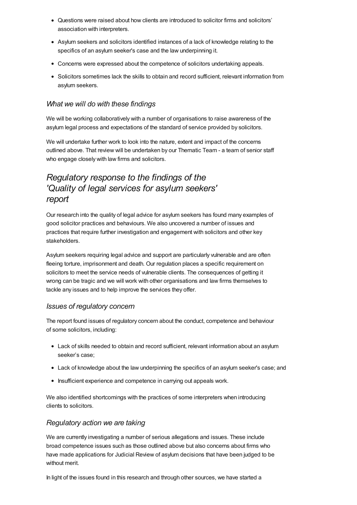- Questions were raised about how clients are introduced to solicitor firms and solicitors' association with interpreters.
- Asylum seekers and solicitors identified instances of a lack of knowledge relating to the specifics of an asylum seeker's case and the law underpinning it.
- Concerns were expressed about the competence of solicitors undertaking appeals.
- Solicitors sometimes lack the skills to obtain and record sufficient, relevant information from asylum seekers.

#### *What we will do with these findings*

We will be working collaboratively with a number of organisations to raise awareness of the asylum legal process and expectations of the standard of service provided by solicitors.

We will undertake further work to look into the nature, extent and impact of the concerns outlined above. That review will be undertaken by our Thematic Team - a team of senior staff who engage closely with law firms and solicitors.

### <span id="page-1-0"></span>*Regulatory response to the findings of the 'Quality of legal services for asylum seekers' report*

Our research into the quality of legal advice for asylum seekers has found many examples of good solicitor practices and behaviours. We also uncovered a number of issues and practices that require further investigation and engagement with solicitors and other key stakeholders.

Asylum seekers requiring legal advice and support are particularly vulnerable and are often fleeing torture, imprisonment and death. Our regulation places a specific requirement on solicitors to meet the service needs of vulnerable clients. The consequences of getting it wrong can be tragic and we will work with other organisations and law firms themselves to tackle any issues and to help improve the services they offer.

#### *Issues of regulatory concern*

The report found issues of regulatory concern about the conduct, competence and behaviour of some solicitors, including:

- Lack of skills needed to obtain and record sufficient, relevant information about an asylum seeker's case;
- Lack of knowledge about the law underpinning the specifics of an asylum seeker's case; and
- Insufficient experience and competence in carrying out appeals work.

We also identified shortcomings with the practices of some interpreters when introducing clients to solicitors.

#### *Regulatory action we are taking*

We are currently investigating a number of serious allegations and issues. These include broad competence issues such as those outlined above but also concerns about firms who have made applications for Judicial Review of asylum decisions that have been judged to be without merit.

In light of the issues found in this research and through other sources, we have started a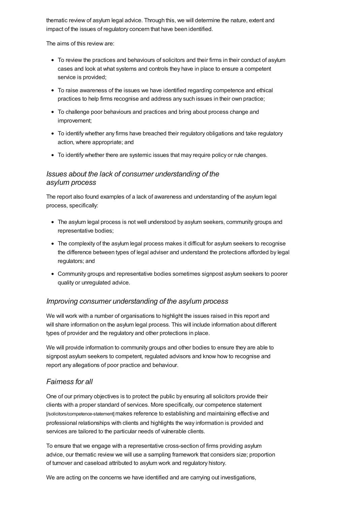thematic review of asylum legal advice. Through this, we will determine the nature, extent and impact of the issues of regulatory concern that have been identified.

The aims of this review are:

- To review the practices and behaviours of solicitors and their firms in their conduct of asylum cases and look at what systems and controls they have in place to ensure a competent service is provided;
- To raise awareness of the issues we have identified regarding competence and ethical practices to help firms recognise and address any such issues in their own practice;
- To challenge poor behaviours and practices and bring about process change and improvement;
- To identify whether any firms have breached their regulatory obligations and take regulatory action, where appropriate; and
- To identify whether there are systemic issues that may require policy or rule changes.

### *Issues about the lack of consumer understanding of the asylum process*

The report also found examples of a lack of awareness and understanding of the asylum legal process, specifically:

- The asylum legal process is not well understood by asylum seekers, community groups and representative bodies;
- The complexity of the asylum legal process makes it difficult for asylum seekers to recognise the difference between types of legal adviser and understand the protections afforded by legal regulators; and
- Community groups and representative bodies sometimes signpost asylum seekers to poorer quality or unregulated advice.

### *Improving consumer understanding of the asylum process*

We will work with a number of organisations to highlight the issues raised in this report and will share information on the asylum legal process. This will include information about different types of provider and the regulatory and other protections in place.

We will provide information to community groups and other bodies to ensure they are able to signpost asylum seekers to competent, regulated advisors and know how to recognise and report any allegations of poor practice and behaviour.

### *Fairness for all*

One of our primary objectives is to protect the public by ensuring all solicitors provide their clients with a proper standard of services. More specifically, our competence statement [\[/solicitors/competence-statement\]](https://www.sra.org.uk/solicitors/competence-statement)makes reference to establishing and maintaining effective and professional relationships with clients and highlights the way information is provided and services are tailored to the particular needs of vulnerable clients.

To ensure that we engage with a representative cross-section of firms providing asylum advice, our thematic review we will use a sampling framework that considers size; proportion of turnover and caseload attributed to asylum work and regulatory history.

We are acting on the concerns we have identified and are carrying out investigations,